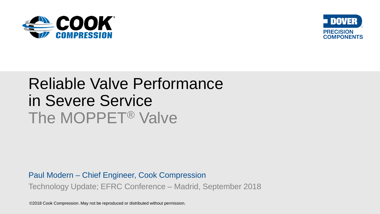



# Reliable Valve Performance in Severe Service The MOPPET® Valve

Paul Modern – Chief Engineer, Cook Compression Technology Update; EFRC Conference – Madrid, September 2018

©2018 Cook Compression. May not be reproduced or distributed without permission.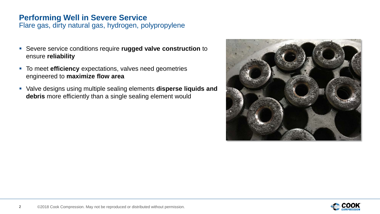## **Performing Well in Severe Service**

Flare gas, dirty natural gas, hydrogen, polypropylene

- Severe service conditions require **rugged valve construction** to ensure **reliability**
- **To meet efficiency** expectations, valves need geometries engineered to **maximize flow area**
- Valve designs using multiple sealing elements **disperse liquids and debris** more efficiently than a single sealing element would



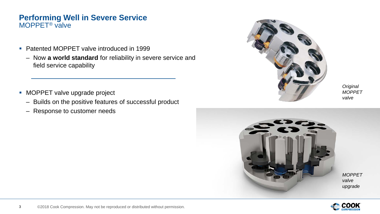### **Performing Well in Severe Service** MOPPET® valve

- Patented MOPPET valve introduced in 1999
	- Now **a world standard** for reliability in severe service and field service capability
- **MOPPET valve upgrade project** 
	- Builds on the positive features of successful product
	- Response to customer needs



*Original MOPPET valve*



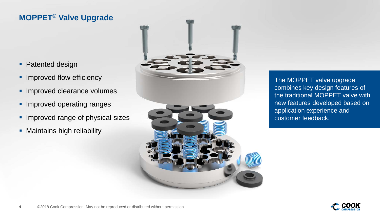## **MOPPET® Valve Upgrade**

- Patented design
- **Improved flow efficiency**
- **Improved clearance volumes**
- **Improved operating ranges**
- **Improved range of physical sizes**
- **Maintains high reliability**



The MOPPET valve upgrade combines key design features of the traditional MOPPET valve with new features developed based on application experience and customer feedback.

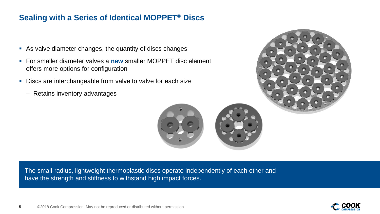## **Sealing with a Series of Identical MOPPET® Discs**

- As valve diameter changes, the quantity of discs changes
- For smaller diameter valves a **new** smaller MOPPET disc element offers more options for configuration
- Discs are interchangeable from valve to valve for each size
	- Retains inventory advantages



The small-radius, lightweight thermoplastic discs operate independently of each other and have the strength and stiffness to withstand high impact forces.



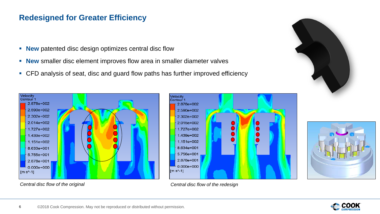## **Redesigned for Greater Efficiency**

- **New** patented disc design optimizes central disc flow
- **New** smaller disc element improves flow area in smaller diameter valves
- CFD analysis of seat, disc and guard flow paths has further improved efficiency





#### *Central disc flow of the original Central disc flow of the redesign*



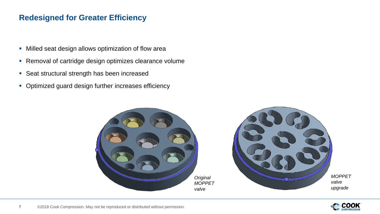## **Redesigned for Greater Efficiency**

- **Milled seat design allows optimization of flow area**
- **Removal of cartridge design optimizes clearance volume**
- **Seat structural strength has been increased**
- Optimized guard design further increases efficiency



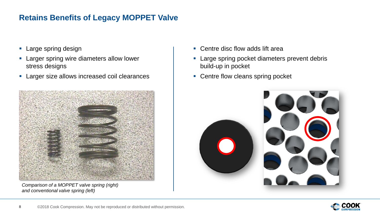## **Retains Benefits of Legacy MOPPET Valve**

- **Large spring design**
- **Larger spring wire diameters allow lower** stress designs
- **Larger size allows increased coil clearances**



*Comparison of a MOPPET valve spring (right) and conventional valve spring (left)*

- Centre disc flow adds lift area
- **Large spring pocket diameters prevent debris** build-up in pocket
- Centre flow cleans spring pocket

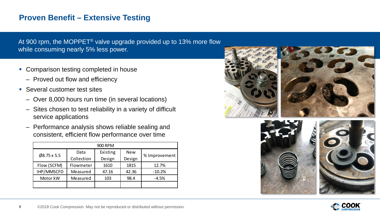## **Proven Benefit – Extensive Testing**

At 900 rpm, the MOPPET® valve upgrade provided up to 13% more flow while consuming nearly 5% less power.

- Comparison testing completed in house
	- Proved out flow and efficiency
- Several customer test sites
	- Over 8,000 hours run time (in several locations)
	- Sites chosen to test reliability in a variety of difficult service applications
	- Performance analysis shows reliable sealing and consistent, efficient flow performance over time

| 900 RPM                |            |          |            |               |
|------------------------|------------|----------|------------|---------------|
| $\emptyset$ 8.75 x 5.5 | Data       | Existing | <b>New</b> | % Improvement |
|                        | Collection | Design   | Design     |               |
| Flow (SCFM)            | Flowmeter  | 1610     | 1815       | 12.7%         |
| IHP/MMSCFD             | Measured   | 47.16    | 42.36      | $-10.2%$      |
| Motor kW               | Measured   | 103      | 98.4       | $-4.5%$       |
|                        |            |          |            |               |